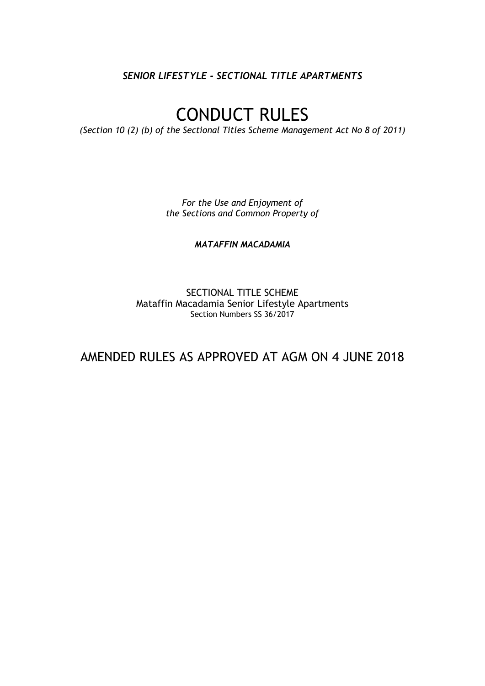*SENIOR LIFESTYLE - SECTIONAL TITLE APARTMENTS*

# CONDUCT RULES

*(Section 10 (2) (b) of the Sectional Titles Scheme Management Act No 8 of 2011)*

*For the Use and Enjoyment of the Sections and Common Property of*

*MATAFFIN MACADAMIA*

SECTIONAL TITLE SCHEME Mataffin Macadamia Senior Lifestyle Apartments Section Numbers SS 36/2017

AMENDED RULES AS APPROVED AT AGM ON 4 JUNE 2018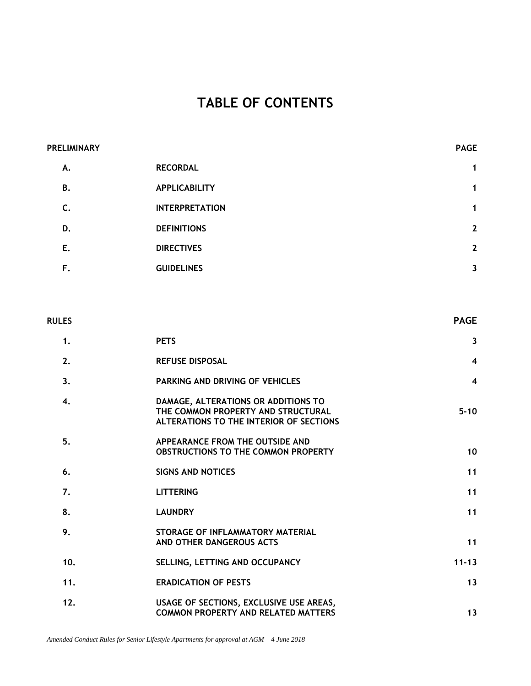# **TABLE OF CONTENTS**

| <b>PRELIMINARY</b> |                       | <b>PAGE</b>    |
|--------------------|-----------------------|----------------|
| А.                 | <b>RECORDAL</b>       | $\mathbf{1}$   |
| <b>B.</b>          | <b>APPLICABILITY</b>  | $\mathbf{1}$   |
| C.                 | <b>INTERPRETATION</b> | 1              |
| D.                 | <b>DEFINITIONS</b>    | $\overline{2}$ |
| E.                 | <b>DIRECTIVES</b>     | $\overline{2}$ |
| F.                 | <b>GUIDELINES</b>     | 3              |

| <b>RULES</b> |                                                                                                                      | <b>PAGE</b>    |
|--------------|----------------------------------------------------------------------------------------------------------------------|----------------|
| 1.           | <b>PETS</b>                                                                                                          | $\mathbf{3}$   |
| 2.           | <b>REFUSE DISPOSAL</b>                                                                                               | $\overline{4}$ |
| 3.           | <b>PARKING AND DRIVING OF VEHICLES</b>                                                                               | $\overline{4}$ |
| 4.           | DAMAGE, ALTERATIONS OR ADDITIONS TO<br>THE COMMON PROPERTY AND STRUCTURAL<br>ALTERATIONS TO THE INTERIOR OF SECTIONS | $5 - 10$       |
| 5.           | APPEARANCE FROM THE OUTSIDE AND<br>OBSTRUCTIONS TO THE COMMON PROPERTY                                               | 10             |
| 6.           | <b>SIGNS AND NOTICES</b>                                                                                             | 11             |
| 7.           | <b>LITTERING</b>                                                                                                     | 11             |
| 8.           | <b>LAUNDRY</b>                                                                                                       | 11             |
| 9.           | STORAGE OF INFLAMMATORY MATERIAL<br>AND OTHER DANGEROUS ACTS                                                         | 11             |
| 10.          | SELLING, LETTING AND OCCUPANCY                                                                                       | $11 - 13$      |
| 11.          | <b>ERADICATION OF PESTS</b>                                                                                          | 13             |
| 12.          | USAGE OF SECTIONS, EXCLUSIVE USE AREAS,<br><b>COMMON PROPERTY AND RELATED MATTERS</b>                                | 13             |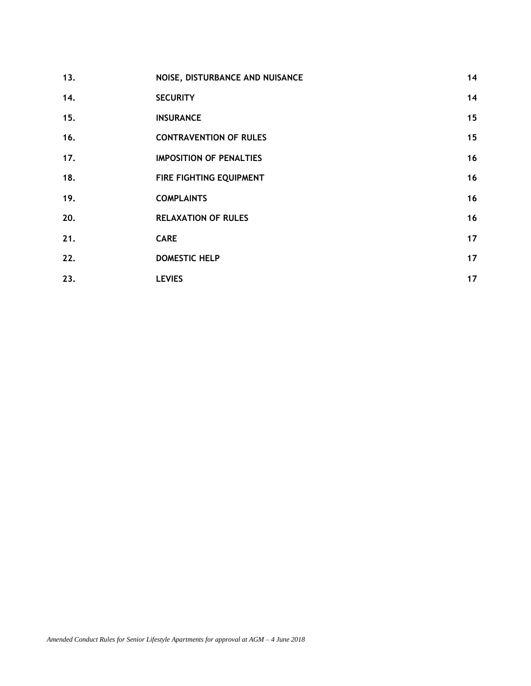| 13. | NOISE, DISTURBANCE AND NUISANCE | 14 |
|-----|---------------------------------|----|
| 14. | <b>SECURITY</b>                 | 14 |
| 15. | <b>INSURANCE</b>                | 15 |
| 16. | <b>CONTRAVENTION OF RULES</b>   | 15 |
| 17. | <b>IMPOSITION OF PENALTIES</b>  | 16 |
| 18. | FIRE FIGHTING EQUIPMENT         | 16 |
| 19. | <b>COMPLAINTS</b>               | 16 |
| 20. | <b>RELAXATION OF RULES</b>      | 16 |
| 21. | <b>CARE</b>                     | 17 |
| 22. | <b>DOMESTIC HELP</b>            | 17 |
| 23. | <b>LEVIES</b>                   | 17 |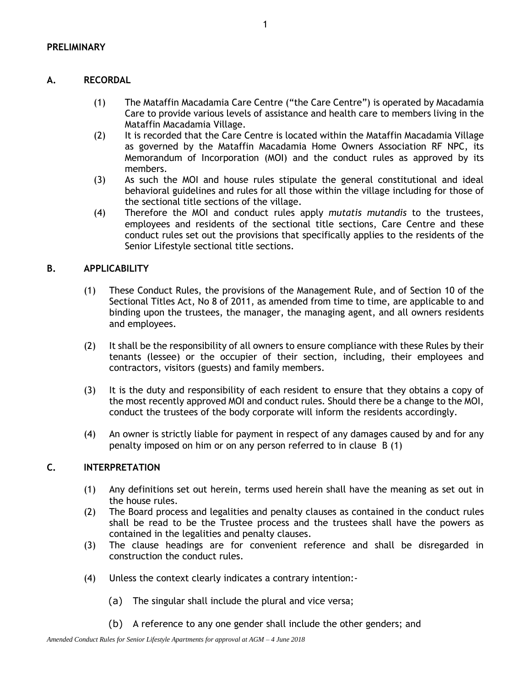# **A. RECORDAL**

- (1) The Mataffin Macadamia Care Centre ("the Care Centre") is operated by Macadamia Care to provide various levels of assistance and health care to members living in the Mataffin Macadamia Village.
- (2) It is recorded that the Care Centre is located within the Mataffin Macadamia Village as governed by the Mataffin Macadamia Home Owners Association RF NPC, its Memorandum of Incorporation (MOI) and the conduct rules as approved by its members.
- (3) As such the MOI and house rules stipulate the general constitutional and ideal behavioral guidelines and rules for all those within the village including for those of the sectional title sections of the village.
- (4) Therefore the MOI and conduct rules apply *mutatis mutandis* to the trustees, employees and residents of the sectional title sections, Care Centre and these conduct rules set out the provisions that specifically applies to the residents of the Senior Lifestyle sectional title sections.

# **B. APPLICABILITY**

- (1) These Conduct Rules, the provisions of the Management Rule, and of Section 10 of the Sectional Titles Act, No 8 of 2011, as amended from time to time, are applicable to and binding upon the trustees, the manager, the managing agent, and all owners residents and employees.
- (2) It shall be the responsibility of all owners to ensure compliance with these Rules by their tenants (lessee) or the occupier of their section, including, their employees and contractors, visitors (guests) and family members.
- (3) It is the duty and responsibility of each resident to ensure that they obtains a copy of the most recently approved MOI and conduct rules. Should there be a change to the MOI, conduct the trustees of the body corporate will inform the residents accordingly.
- (4) An owner is strictly liable for payment in respect of any damages caused by and for any penalty imposed on him or on any person referred to in clause B (1)

# **C. INTERPRETATION**

- (1) Any definitions set out herein, terms used herein shall have the meaning as set out in the house rules.
- (2) The Board process and legalities and penalty clauses as contained in the conduct rules shall be read to be the Trustee process and the trustees shall have the powers as contained in the legalities and penalty clauses.
- (3) The clause headings are for convenient reference and shall be disregarded in construction the conduct rules.
- (4) Unless the context clearly indicates a contrary intention:-
	- (a) The singular shall include the plural and vice versa;
	- (b) A reference to any one gender shall include the other genders; and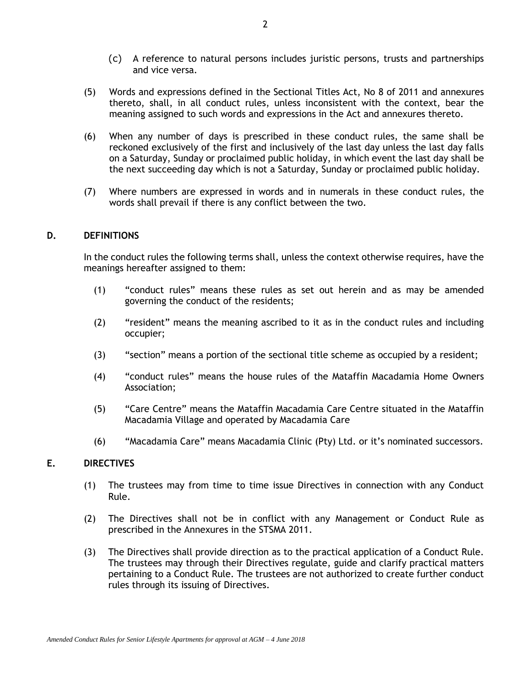- (c) A reference to natural persons includes juristic persons, trusts and partnerships and vice versa.
- (5) Words and expressions defined in the Sectional Titles Act, No 8 of 2011 and annexures thereto, shall, in all conduct rules, unless inconsistent with the context, bear the meaning assigned to such words and expressions in the Act and annexures thereto.
- (6) When any number of days is prescribed in these conduct rules, the same shall be reckoned exclusively of the first and inclusively of the last day unless the last day falls on a Saturday, Sunday or proclaimed public holiday, in which event the last day shall be the next succeeding day which is not a Saturday, Sunday or proclaimed public holiday.
- (7) Where numbers are expressed in words and in numerals in these conduct rules, the words shall prevail if there is any conflict between the two.

#### **D. DEFINITIONS**

In the conduct rules the following terms shall, unless the context otherwise requires, have the meanings hereafter assigned to them:

- (1) "conduct rules" means these rules as set out herein and as may be amended governing the conduct of the residents;
- (2) "resident" means the meaning ascribed to it as in the conduct rules and including occupier;
- (3) "section" means a portion of the sectional title scheme as occupied by a resident;
- (4) "conduct rules" means the house rules of the Mataffin Macadamia Home Owners Association;
- (5) "Care Centre" means the Mataffin Macadamia Care Centre situated in the Mataffin Macadamia Village and operated by Macadamia Care
- (6) "Macadamia Care" means Macadamia Clinic (Pty) Ltd. or it's nominated successors.

#### **E. DIRECTIVES**

- (1) The trustees may from time to time issue Directives in connection with any Conduct Rule.
- (2) The Directives shall not be in conflict with any Management or Conduct Rule as prescribed in the Annexures in the STSMA 2011.
- (3) The Directives shall provide direction as to the practical application of a Conduct Rule. The trustees may through their Directives regulate, guide and clarify practical matters pertaining to a Conduct Rule. The trustees are not authorized to create further conduct rules through its issuing of Directives.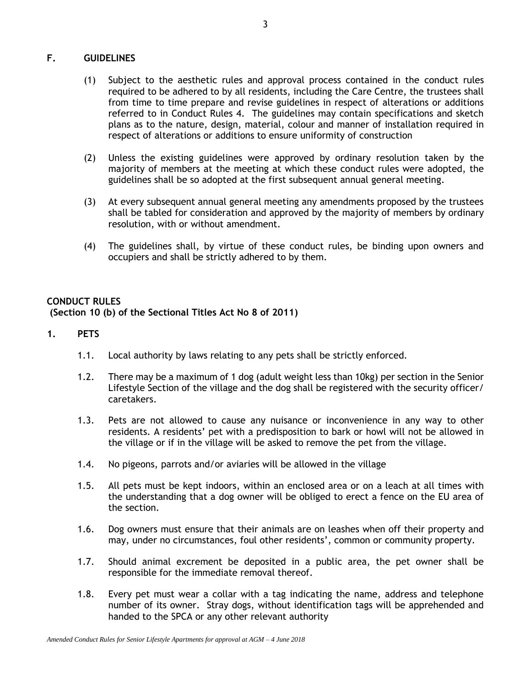# **F. GUIDELINES**

- (1) Subject to the aesthetic rules and approval process contained in the conduct rules required to be adhered to by all residents, including the Care Centre, the trustees shall from time to time prepare and revise guidelines in respect of alterations or additions referred to in Conduct Rules 4. The guidelines may contain specifications and sketch plans as to the nature, design, material, colour and manner of installation required in respect of alterations or additions to ensure uniformity of construction
- (2) Unless the existing guidelines were approved by ordinary resolution taken by the majority of members at the meeting at which these conduct rules were adopted, the guidelines shall be so adopted at the first subsequent annual general meeting.
- (3) At every subsequent annual general meeting any amendments proposed by the trustees shall be tabled for consideration and approved by the majority of members by ordinary resolution, with or without amendment.
- (4) The guidelines shall, by virtue of these conduct rules, be binding upon owners and occupiers and shall be strictly adhered to by them.

# **CONDUCT RULES (Section 10 (b) of the Sectional Titles Act No 8 of 2011)**

# **1. PETS**

- 1.1. Local authority by laws relating to any pets shall be strictly enforced.
- 1.2. There may be a maximum of 1 dog (adult weight less than 10kg) per section in the Senior Lifestyle Section of the village and the dog shall be registered with the security officer/ caretakers.
- 1.3. Pets are not allowed to cause any nuisance or inconvenience in any way to other residents. A residents' pet with a predisposition to bark or howl will not be allowed in the village or if in the village will be asked to remove the pet from the village.
- 1.4. No pigeons, parrots and/or aviaries will be allowed in the village
- 1.5. All pets must be kept indoors, within an enclosed area or on a leach at all times with the understanding that a dog owner will be obliged to erect a fence on the EU area of the section.
- 1.6. Dog owners must ensure that their animals are on leashes when off their property and may, under no circumstances, foul other residents', common or community property.
- 1.7. Should animal excrement be deposited in a public area, the pet owner shall be responsible for the immediate removal thereof.
- 1.8. Every pet must wear a collar with a tag indicating the name, address and telephone number of its owner. Stray dogs, without identification tags will be apprehended and handed to the SPCA or any other relevant authority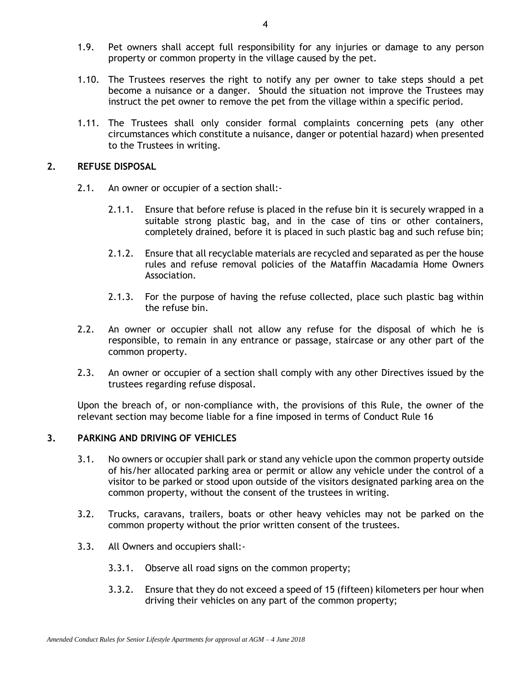- 1.9. Pet owners shall accept full responsibility for any injuries or damage to any person property or common property in the village caused by the pet.
- 1.10. The Trustees reserves the right to notify any per owner to take steps should a pet become a nuisance or a danger. Should the situation not improve the Trustees may instruct the pet owner to remove the pet from the village within a specific period.
- 1.11. The Trustees shall only consider formal complaints concerning pets (any other circumstances which constitute a nuisance, danger or potential hazard) when presented to the Trustees in writing.

### **2. REFUSE DISPOSAL**

- 2.1. An owner or occupier of a section shall:-
	- 2.1.1. Ensure that before refuse is placed in the refuse bin it is securely wrapped in a suitable strong plastic bag, and in the case of tins or other containers, completely drained, before it is placed in such plastic bag and such refuse bin;
	- 2.1.2. Ensure that all recyclable materials are recycled and separated as per the house rules and refuse removal policies of the Mataffin Macadamia Home Owners Association.
	- 2.1.3. For the purpose of having the refuse collected, place such plastic bag within the refuse bin.
- 2.2. An owner or occupier shall not allow any refuse for the disposal of which he is responsible, to remain in any entrance or passage, staircase or any other part of the common property.
- 2.3. An owner or occupier of a section shall comply with any other Directives issued by the trustees regarding refuse disposal.

Upon the breach of, or non-compliance with, the provisions of this Rule, the owner of the relevant section may become liable for a fine imposed in terms of Conduct Rule 16

#### <span id="page-6-0"></span>**3. PARKING AND DRIVING OF VEHICLES**

- 3.1. No owners or occupier shall park or stand any vehicle upon the common property outside of his/her allocated parking area or permit or allow any vehicle under the control of a visitor to be parked or stood upon outside of the visitors designated parking area on the common property, without the consent of the trustees in writing.
- 3.2. Trucks, caravans, trailers, boats or other heavy vehicles may not be parked on the common property without the prior written consent of the trustees.
- 3.3. All Owners and occupiers shall:-
	- 3.3.1. Observe all road signs on the common property;
	- 3.3.2. Ensure that they do not exceed a speed of 15 (fifteen) kilometers per hour when driving their vehicles on any part of the common property;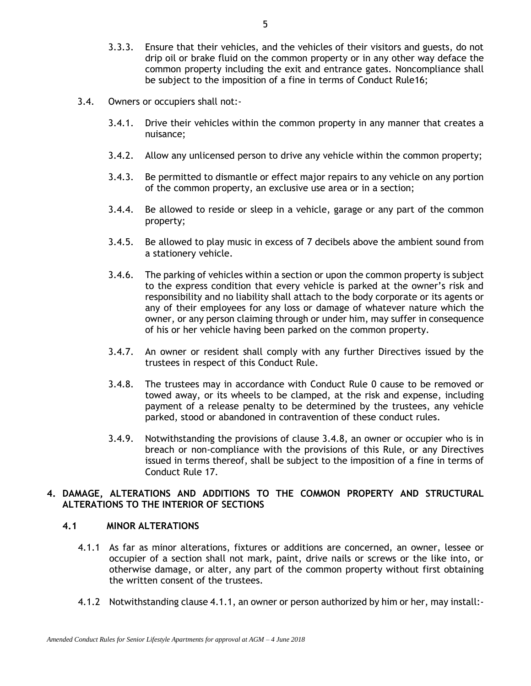- 3.3.3. Ensure that their vehicles, and the vehicles of their visitors and guests, do not drip oil or brake fluid on the common property or in any other way deface the common property including the exit and entrance gates. Noncompliance shall be subject to the imposition of a fine in terms of Conduct Rule16;
- 3.4. Owners or occupiers shall not:-
	- 3.4.1. Drive their vehicles within the common property in any manner that creates a nuisance;
	- 3.4.2. Allow any unlicensed person to drive any vehicle within the common property;
	- 3.4.3. Be permitted to dismantle or effect major repairs to any vehicle on any portion of the common property, an exclusive use area or in a section;
	- 3.4.4. Be allowed to reside or sleep in a vehicle, garage or any part of the common property;
	- 3.4.5. Be allowed to play music in excess of 7 decibels above the ambient sound from a stationery vehicle.
	- 3.4.6. The parking of vehicles within a section or upon the common property is subject to the express condition that every vehicle is parked at the owner's risk and responsibility and no liability shall attach to the body corporate or its agents or any of their employees for any loss or damage of whatever nature which the owner, or any person claiming through or under him, may suffer in consequence of his or her vehicle having been parked on the common property.
	- 3.4.7. An owner or resident shall comply with any further Directives issued by the trustees in respect of this Conduct Rule.
	- 3.4.8. The trustees may in accordance with Conduct Rule [0](#page-18-0) cause to be removed or towed away, or its wheels to be clamped, at the risk and expense, including payment of a release penalty to be determined by the trustees, any vehicle parked, stood or abandoned in contravention of these conduct rules.
	- 3.4.9. Notwithstanding the provisions of clause 3.4.8, an owner or occupier who is in breach or non-compliance with the provisions of this Rule, or any Directives issued in terms thereof, shall be subject to the imposition of a fine in terms of Conduct Rule 17.

# <span id="page-7-2"></span>**4. DAMAGE, ALTERATIONS AND ADDITIONS TO THE COMMON PROPERTY AND STRUCTURAL ALTERATIONS TO THE INTERIOR OF SECTIONS**

# <span id="page-7-0"></span>**4.1 MINOR ALTERATIONS**

- 4.1.1 As far as minor alterations, fixtures or additions are concerned, an owner, lessee or occupier of a section shall not mark, paint, drive nails or screws or the like into, or otherwise damage, or alter, any part of the common property without first obtaining the written consent of the trustees.
- <span id="page-7-1"></span>4.1.2 Notwithstanding clause [4.1.1,](#page-7-0) an owner or person authorized by him or her, may install:-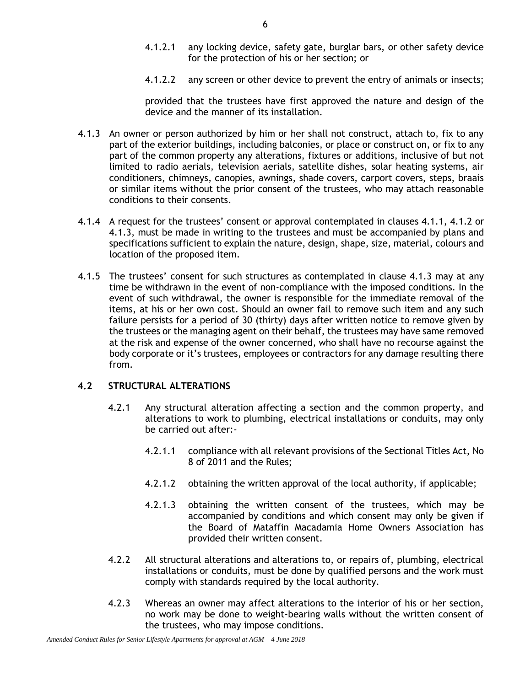- 4.1.2.1 any locking device, safety gate, burglar bars, or other safety device for the protection of his or her section; or
- 4.1.2.2 any screen or other device to prevent the entry of animals or insects;

provided that the trustees have first approved the nature and design of the device and the manner of its installation.

- <span id="page-8-0"></span>4.1.3 An owner or person authorized by him or her shall not construct, attach to, fix to any part of the exterior buildings, including balconies, or place or construct on, or fix to any part of the common property any alterations, fixtures or additions, inclusive of but not limited to radio aerials, television aerials, satellite dishes, solar heating systems, air conditioners, chimneys, canopies, awnings, shade covers, carport covers, steps, braais or similar items without the prior consent of the trustees, who may attach reasonable conditions to their consents.
- 4.1.4 A request for the trustees' consent or approval contemplated in clauses [4.1.1,](#page-7-0) [4.1.2](#page-7-1) or [4.1.3,](#page-8-0) must be made in writing to the trustees and must be accompanied by plans and specifications sufficient to explain the nature, design, shape, size, material, colours and location of the proposed item.
- 4.1.5 The trustees' consent for such structures as contemplated in clause [4.1.3](#page-8-0) may at any time be withdrawn in the event of non-compliance with the imposed conditions. In the event of such withdrawal, the owner is responsible for the immediate removal of the items, at his or her own cost. Should an owner fail to remove such item and any such failure persists for a period of 30 (thirty) days after written notice to remove given by the trustees or the managing agent on their behalf, the trustees may have same removed at the risk and expense of the owner concerned, who shall have no recourse against the body corporate or it's trustees, employees or contractors for any damage resulting there from.

# **4.2 STRUCTURAL ALTERATIONS**

- 4.2.1 Any structural alteration affecting a section and the common property, and alterations to work to plumbing, electrical installations or conduits, may only be carried out after:-
	- 4.2.1.1 compliance with all relevant provisions of the Sectional Titles Act, No 8 of 2011 and the Rules;
	- 4.2.1.2 obtaining the written approval of the local authority, if applicable;
	- 4.2.1.3 obtaining the written consent of the trustees, which may be accompanied by conditions and which consent may only be given if the Board of Mataffin Macadamia Home Owners Association has provided their written consent.
- 4.2.2 All structural alterations and alterations to, or repairs of, plumbing, electrical installations or conduits, must be done by qualified persons and the work must comply with standards required by the local authority.
- 4.2.3 Whereas an owner may affect alterations to the interior of his or her section, no work may be done to weight-bearing walls without the written consent of the trustees, who may impose conditions.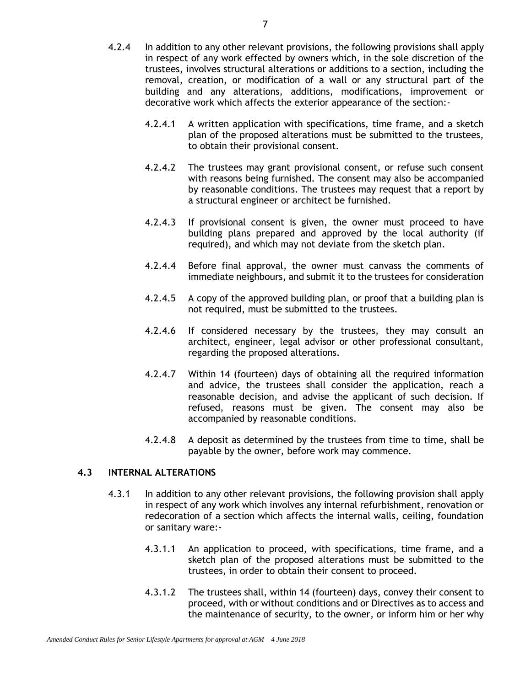- 4.2.4 In addition to any other relevant provisions, the following provisions shall apply in respect of any work effected by owners which, in the sole discretion of the trustees, involves structural alterations or additions to a section, including the removal, creation, or modification of a wall or any structural part of the building and any alterations, additions, modifications, improvement or decorative work which affects the exterior appearance of the section:-
	- 4.2.4.1 A written application with specifications, time frame, and a sketch plan of the proposed alterations must be submitted to the trustees, to obtain their provisional consent.
	- 4.2.4.2 The trustees may grant provisional consent, or refuse such consent with reasons being furnished. The consent may also be accompanied by reasonable conditions. The trustees may request that a report by a structural engineer or architect be furnished.
	- 4.2.4.3 If provisional consent is given, the owner must proceed to have building plans prepared and approved by the local authority (if required), and which may not deviate from the sketch plan.
	- 4.2.4.4 Before final approval, the owner must canvass the comments of immediate neighbours, and submit it to the trustees for consideration
	- 4.2.4.5 A copy of the approved building plan, or proof that a building plan is not required, must be submitted to the trustees.
	- 4.2.4.6 If considered necessary by the trustees, they may consult an architect, engineer, legal advisor or other professional consultant, regarding the proposed alterations.
	- 4.2.4.7 Within 14 (fourteen) days of obtaining all the required information and advice, the trustees shall consider the application, reach a reasonable decision, and advise the applicant of such decision. If refused, reasons must be given. The consent may also be accompanied by reasonable conditions.
	- 4.2.4.8 A deposit as determined by the trustees from time to time, shall be payable by the owner, before work may commence.

# **4.3 INTERNAL ALTERATIONS**

- 4.3.1 In addition to any other relevant provisions, the following provision shall apply in respect of any work which involves any internal refurbishment, renovation or redecoration of a section which affects the internal walls, ceiling, foundation or sanitary ware:-
	- 4.3.1.1 An application to proceed, with specifications, time frame, and a sketch plan of the proposed alterations must be submitted to the trustees, in order to obtain their consent to proceed.
	- 4.3.1.2 The trustees shall, within 14 (fourteen) days, convey their consent to proceed, with or without conditions and or Directives as to access and the maintenance of security, to the owner, or inform him or her why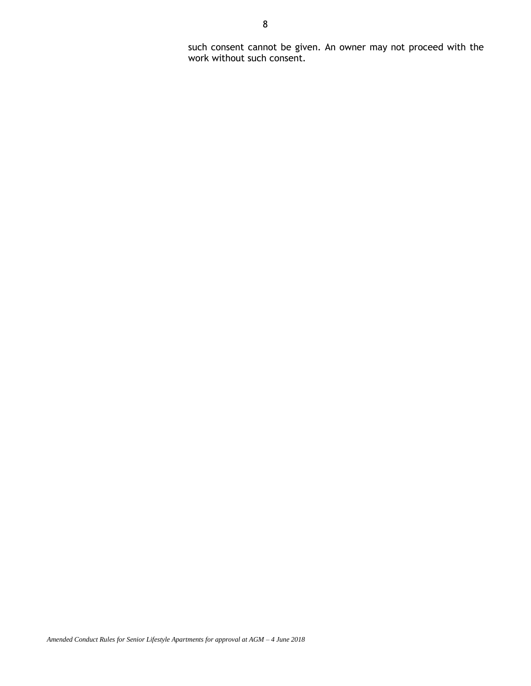such consent cannot be given. An owner may not proceed with the work without such consent.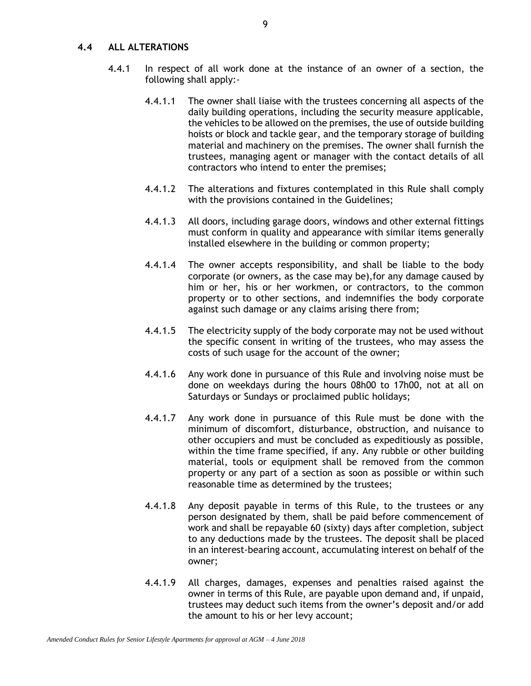#### **4.4 ALL ALTERATIONS**

- 4.4.1 In respect of all work done at the instance of an owner of a section, the following shall apply:-
	- 4.4.1.1 The owner shall liaise with the trustees concerning all aspects of the daily building operations, including the security measure applicable, the vehicles to be allowed on the premises, the use of outside building hoists or block and tackle gear, and the temporary storage of building material and machinery on the premises. The owner shall furnish the trustees, managing agent or manager with the contact details of all contractors who intend to enter the premises;
	- 4.4.1.2 The alterations and fixtures contemplated in this Rule shall comply with the provisions contained in the Guidelines;
	- 4.4.1.3 All doors, including garage doors, windows and other external fittings must conform in quality and appearance with similar items generally installed elsewhere in the building or common property;
	- 4.4.1.4 The owner accepts responsibility, and shall be liable to the body corporate (or owners, as the case may be),for any damage caused by him or her, his or her workmen, or contractors, to the common property or to other sections, and indemnifies the body corporate against such damage or any claims arising there from;
	- 4.4.1.5 The electricity supply of the body corporate may not be used without the specific consent in writing of the trustees, who may assess the costs of such usage for the account of the owner;
	- 4.4.1.6 Any work done in pursuance of this Rule and involving noise must be done on weekdays during the hours 08h00 to 17h00, not at all on Saturdays or Sundays or proclaimed public holidays;
	- 4.4.1.7 Any work done in pursuance of this Rule must be done with the minimum of discomfort, disturbance, obstruction, and nuisance to other occupiers and must be concluded as expeditiously as possible, within the time frame specified, if any. Any rubble or other building material, tools or equipment shall be removed from the common property or any part of a section as soon as possible or within such reasonable time as determined by the trustees;
	- 4.4.1.8 Any deposit payable in terms of this Rule, to the trustees or any person designated by them, shall be paid before commencement of work and shall be repayable 60 (sixty) days after completion, subject to any deductions made by the trustees. The deposit shall be placed in an interest-bearing account, accumulating interest on behalf of the owner;
	- 4.4.1.9 All charges, damages, expenses and penalties raised against the owner in terms of this Rule, are payable upon demand and, if unpaid, trustees may deduct such items from the owner's deposit and/or add the amount to his or her levy account;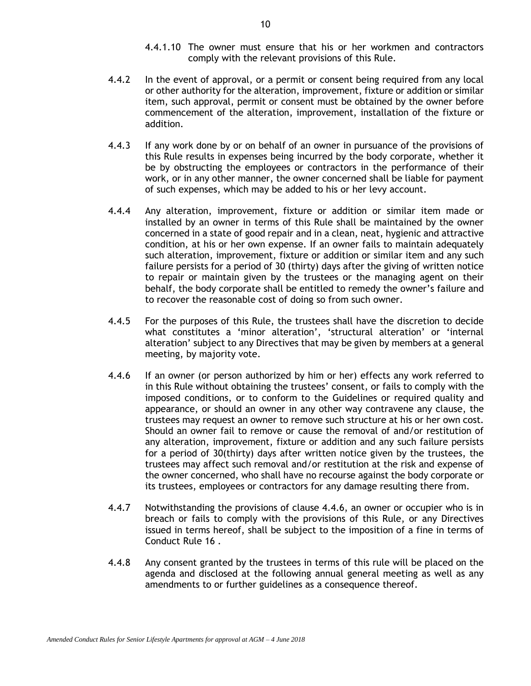- 4.4.1.10 The owner must ensure that his or her workmen and contractors comply with the relevant provisions of this Rule.
- 4.4.2 In the event of approval, or a permit or consent being required from any local or other authority for the alteration, improvement, fixture or addition or similar item, such approval, permit or consent must be obtained by the owner before commencement of the alteration, improvement, installation of the fixture or addition.
- 4.4.3 If any work done by or on behalf of an owner in pursuance of the provisions of this Rule results in expenses being incurred by the body corporate, whether it be by obstructing the employees or contractors in the performance of their work, or in any other manner, the owner concerned shall be liable for payment of such expenses, which may be added to his or her levy account.
- 4.4.4 Any alteration, improvement, fixture or addition or similar item made or installed by an owner in terms of this Rule shall be maintained by the owner concerned in a state of good repair and in a clean, neat, hygienic and attractive condition, at his or her own expense. If an owner fails to maintain adequately such alteration, improvement, fixture or addition or similar item and any such failure persists for a period of 30 (thirty) days after the giving of written notice to repair or maintain given by the trustees or the managing agent on their behalf, the body corporate shall be entitled to remedy the owner's failure and to recover the reasonable cost of doing so from such owner.
- 4.4.5 For the purposes of this Rule, the trustees shall have the discretion to decide what constitutes a 'minor alteration', 'structural alteration' or 'internal alteration' subject to any Directives that may be given by members at a general meeting, by majority vote.
- 4.4.6 If an owner (or person authorized by him or her) effects any work referred to in this Rule without obtaining the trustees' consent, or fails to comply with the imposed conditions, or to conform to the Guidelines or required quality and appearance, or should an owner in any other way contravene any clause, the trustees may request an owner to remove such structure at his or her own cost. Should an owner fail to remove or cause the removal of and/or restitution of any alteration, improvement, fixture or addition and any such failure persists for a period of 30(thirty) days after written notice given by the trustees, the trustees may affect such removal and/or restitution at the risk and expense of the owner concerned, who shall have no recourse against the body corporate or its trustees, employees or contractors for any damage resulting there from.
- 4.4.7 Notwithstanding the provisions of clause 4.4.6, an owner or occupier who is in breach or fails to comply with the provisions of this Rule, or any Directives issued in terms hereof, shall be subject to the imposition of a fine in terms of Conduct Rule 16 .
- <span id="page-12-0"></span>4.4.8 Any consent granted by the trustees in terms of this rule will be placed on the agenda and disclosed at the following annual general meeting as well as any amendments to or further guidelines as a consequence thereof.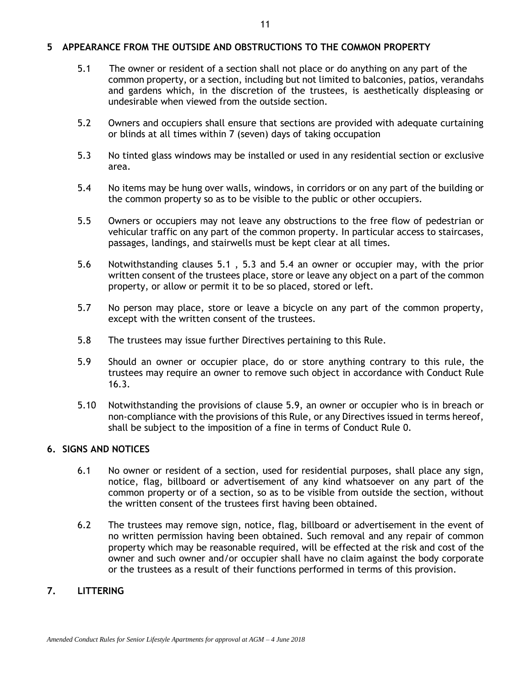### **5 APPEARANCE FROM THE OUTSIDE AND OBSTRUCTIONS TO THE COMMON PROPERTY**

- <span id="page-13-0"></span>5.1 The owner or resident of a section shall not place or do anything on any part of the common property, or a section, including but not limited to balconies, patios, verandahs and gardens which, in the discretion of the trustees, is aesthetically displeasing or undesirable when viewed from the outside section.
- 5.2 Owners and occupiers shall ensure that sections are provided with adequate curtaining or blinds at all times within 7 (seven) days of taking occupation
- <span id="page-13-1"></span>5.3 No tinted glass windows may be installed or used in any residential section or exclusive area.
- <span id="page-13-2"></span>5.4 No items may be hung over walls, windows, in corridors or on any part of the building or the common property so as to be visible to the public or other occupiers.
- 5.5 Owners or occupiers may not leave any obstructions to the free flow of pedestrian or vehicular traffic on any part of the common property. In particular access to staircases, passages, landings, and stairwells must be kept clear at all times.
- 5.6 Notwithstanding clauses [5.1](#page-13-0) , [5.3](#page-13-1) and [5.4](#page-13-2) an owner or occupier may, with the prior written consent of the trustees place, store or leave any object on a part of the common property, or allow or permit it to be so placed, stored or left.
- 5.7 No person may place, store or leave a bicycle on any part of the common property, except with the written consent of the trustees.
- 5.8 The trustees may issue further Directives pertaining to this Rule.
- 5.9 Should an owner or occupier place, do or store anything contrary to this rule, the trustees may require an owner to remove such object in accordance with Conduct Rule 16.3.
- 5.10 Notwithstanding the provisions of clause 5.9, an owner or occupier who is in breach or non-compliance with the provisions of this Rule, or any Directives issued in terms hereof, shall be subject to the imposition of a fine in terms of Conduct Rule [0.](#page-18-1)

# **6. SIGNS AND NOTICES**

- 6.1 No owner or resident of a section, used for residential purposes, shall place any sign, notice, flag, billboard or advertisement of any kind whatsoever on any part of the common property or of a section, so as to be visible from outside the section, without the written consent of the trustees first having been obtained.
- 6.2 The trustees may remove sign, notice, flag, billboard or advertisement in the event of no written permission having been obtained. Such removal and any repair of common property which may be reasonable required, will be effected at the risk and cost of the owner and such owner and/or occupier shall have no claim against the body corporate or the trustees as a result of their functions performed in terms of this provision.

# **7. LITTERING**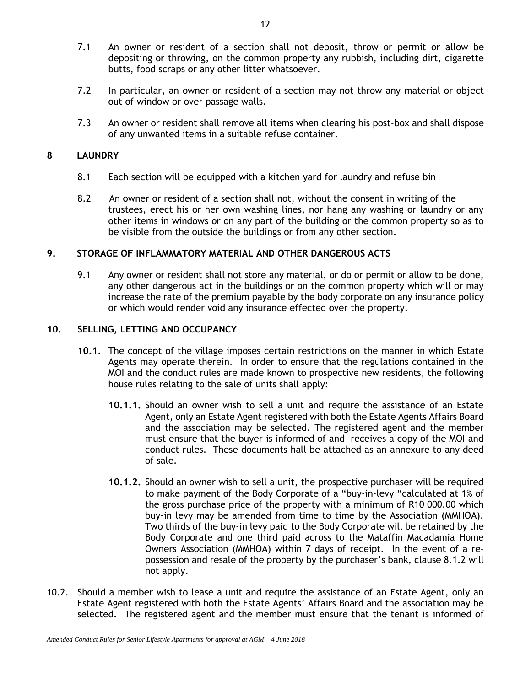- 7.1 An owner or resident of a section shall not deposit, throw or permit or allow be depositing or throwing, on the common property any rubbish, including dirt, cigarette butts, food scraps or any other litter whatsoever.
- 7.2 In particular, an owner or resident of a section may not throw any material or object out of window or over passage walls.
- 7.3 An owner or resident shall remove all items when clearing his post-box and shall dispose of any unwanted items in a suitable refuse container.

# **8 LAUNDRY**

- 8.1 Each section will be equipped with a kitchen yard for laundry and refuse bin
- 8.2 An owner or resident of a section shall not, without the consent in writing of the trustees, erect his or her own washing lines, nor hang any washing or laundry or any other items in windows or on any part of the building or the common property so as to be visible from the outside the buildings or from any other section.

# **9. STORAGE OF INFLAMMATORY MATERIAL AND OTHER DANGEROUS ACTS**

9.1 Any owner or resident shall not store any material, or do or permit or allow to be done, any other dangerous act in the buildings or on the common property which will or may increase the rate of the premium payable by the body corporate on any insurance policy or which would render void any insurance effected over the property.

# **10. SELLING, LETTING AND OCCUPANCY**

- **10.1.** The concept of the village imposes certain restrictions on the manner in which Estate Agents may operate therein. In order to ensure that the regulations contained in the MOI and the conduct rules are made known to prospective new residents, the following house rules relating to the sale of units shall apply:
	- **10.1.1.** Should an owner wish to sell a unit and require the assistance of an Estate Agent, only an Estate Agent registered with both the Estate Agents Affairs Board and the association may be selected. The registered agent and the member must ensure that the buyer is informed of and receives a copy of the MOI and conduct rules. These documents hall be attached as an annexure to any deed of sale.
	- **10.1.2.** Should an owner wish to sell a unit, the prospective purchaser will be required to make payment of the Body Corporate of a "buy-in-levy "calculated at 1% of the gross purchase price of the property with a minimum of R10 000.00 which buy-in levy may be amended from time to time by the Association (MMHOA). Two thirds of the buy-in levy paid to the Body Corporate will be retained by the Body Corporate and one third paid across to the Mataffin Macadamia Home Owners Association (MMHOA) within 7 days of receipt. In the event of a repossession and resale of the property by the purchaser's bank, clause 8.1.2 will not apply.
- 10.2. Should a member wish to lease a unit and require the assistance of an Estate Agent, only an Estate Agent registered with both the Estate Agents' Affairs Board and the association may be selected. The registered agent and the member must ensure that the tenant is informed of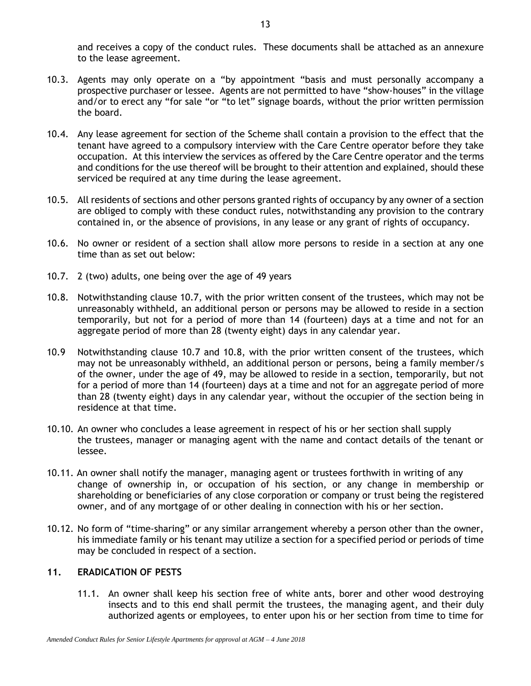and receives a copy of the conduct rules. These documents shall be attached as an annexure to the lease agreement.

- 10.3. Agents may only operate on a "by appointment "basis and must personally accompany a prospective purchaser or lessee. Agents are not permitted to have "show-houses" in the village and/or to erect any "for sale "or "to let" signage boards, without the prior written permission the board.
- 10.4. Any lease agreement for section of the Scheme shall contain a provision to the effect that the tenant have agreed to a compulsory interview with the Care Centre operator before they take occupation. At this interview the services as offered by the Care Centre operator and the terms and conditions for the use thereof will be brought to their attention and explained, should these serviced be required at any time during the lease agreement.
- 10.5. All residents of sections and other persons granted rights of occupancy by any owner of a section are obliged to comply with these conduct rules, notwithstanding any provision to the contrary contained in, or the absence of provisions, in any lease or any grant of rights of occupancy.
- 10.6. No owner or resident of a section shall allow more persons to reside in a section at any one time than as set out below:
- 10.7. 2 (two) adults, one being over the age of 49 years
- 10.8. Notwithstanding clause 10.7, with the prior written consent of the trustees, which may not be unreasonably withheld, an additional person or persons may be allowed to reside in a section temporarily, but not for a period of more than 14 (fourteen) days at a time and not for an aggregate period of more than 28 (twenty eight) days in any calendar year.
- 10.9 Notwithstanding clause 10.7 and 10.8, with the prior written consent of the trustees, which may not be unreasonably withheld, an additional person or persons, being a family member/s of the owner, under the age of 49, may be allowed to reside in a section, temporarily, but not for a period of more than 14 (fourteen) days at a time and not for an aggregate period of more than 28 (twenty eight) days in any calendar year, without the occupier of the section being in residence at that time.
- 10.10. An owner who concludes a lease agreement in respect of his or her section shall supply the trustees, manager or managing agent with the name and contact details of the tenant or lessee.
- 10.11. An owner shall notify the manager, managing agent or trustees forthwith in writing of any change of ownership in, or occupation of his section, or any change in membership or shareholding or beneficiaries of any close corporation or company or trust being the registered owner, and of any mortgage of or other dealing in connection with his or her section.
- 10.12. No form of "time-sharing" or any similar arrangement whereby a person other than the owner, his immediate family or his tenant may utilize a section for a specified period or periods of time may be concluded in respect of a section.

# **11. ERADICATION OF PESTS**

11.1. An owner shall keep his section free of white ants, borer and other wood destroying insects and to this end shall permit the trustees, the managing agent, and their duly authorized agents or employees, to enter upon his or her section from time to time for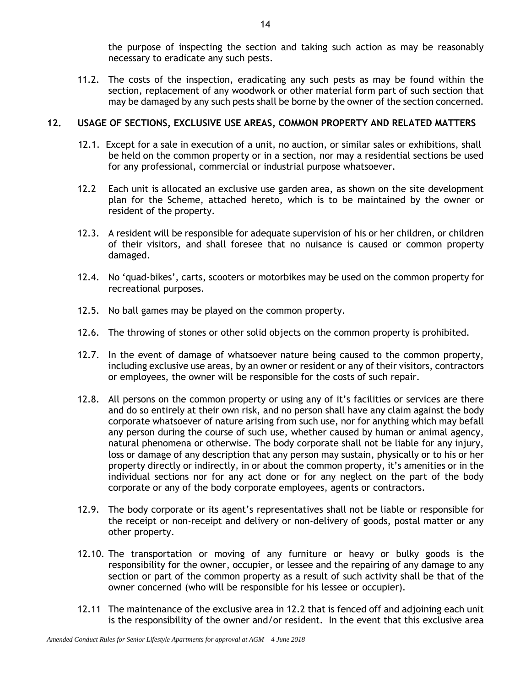the purpose of inspecting the section and taking such action as may be reasonably necessary to eradicate any such pests.

11.2. The costs of the inspection, eradicating any such pests as may be found within the section, replacement of any woodwork or other material form part of such section that may be damaged by any such pests shall be borne by the owner of the section concerned.

# **12. USAGE OF SECTIONS, EXCLUSIVE USE AREAS, COMMON PROPERTY AND RELATED MATTERS**

- 12.1. Except for a sale in execution of a unit, no auction, or similar sales or exhibitions, shall be held on the common property or in a section, nor may a residential sections be used for any professional, commercial or industrial purpose whatsoever.
- 12.2 Each unit is allocated an exclusive use garden area, as shown on the site development plan for the Scheme, attached hereto, which is to be maintained by the owner or resident of the property.
- 12.3. A resident will be responsible for adequate supervision of his or her children, or children of their visitors, and shall foresee that no nuisance is caused or common property damaged.
- 12.4. No 'quad-bikes', carts, scooters or motorbikes may be used on the common property for recreational purposes.
- 12.5. No ball games may be played on the common property.
- 12.6. The throwing of stones or other solid objects on the common property is prohibited.
- 12.7. In the event of damage of whatsoever nature being caused to the common property, including exclusive use areas, by an owner or resident or any of their visitors, contractors or employees, the owner will be responsible for the costs of such repair.
- 12.8. All persons on the common property or using any of it's facilities or services are there and do so entirely at their own risk, and no person shall have any claim against the body corporate whatsoever of nature arising from such use, nor for anything which may befall any person during the course of such use, whether caused by human or animal agency, natural phenomena or otherwise. The body corporate shall not be liable for any injury, loss or damage of any description that any person may sustain, physically or to his or her property directly or indirectly, in or about the common property, it's amenities or in the individual sections nor for any act done or for any neglect on the part of the body corporate or any of the body corporate employees, agents or contractors.
- 12.9. The body corporate or its agent's representatives shall not be liable or responsible for the receipt or non-receipt and delivery or non-delivery of goods, postal matter or any other property.
- 12.10. The transportation or moving of any furniture or heavy or bulky goods is the responsibility for the owner, occupier, or lessee and the repairing of any damage to any section or part of the common property as a result of such activity shall be that of the owner concerned (who will be responsible for his lessee or occupier).
- 12.11 The maintenance of the exclusive area in 12.2 that is fenced off and adjoining each unit is the responsibility of the owner and/or resident. In the event that this exclusive area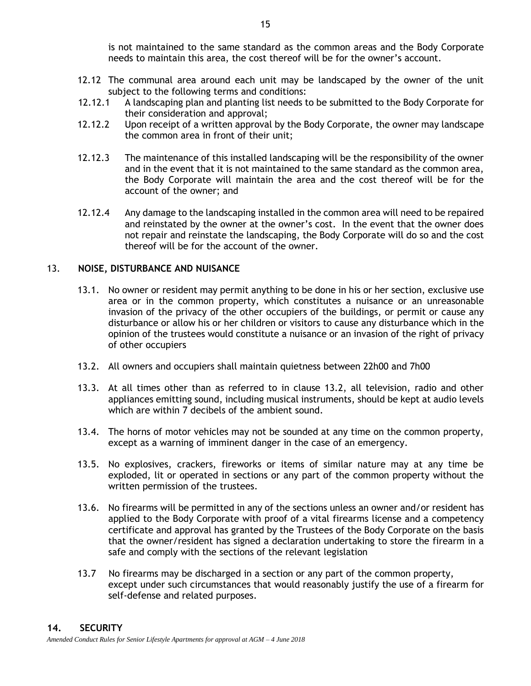is not maintained to the same standard as the common areas and the Body Corporate needs to maintain this area, the cost thereof will be for the owner's account.

- 12.12 The communal area around each unit may be landscaped by the owner of the unit subject to the following terms and conditions:
- 12.12.1 A landscaping plan and planting list needs to be submitted to the Body Corporate for their consideration and approval;
- 12.12.2 Upon receipt of a written approval by the Body Corporate, the owner may landscape the common area in front of their unit;
- 12.12.3 The maintenance of this installed landscaping will be the responsibility of the owner and in the event that it is not maintained to the same standard as the common area, the Body Corporate will maintain the area and the cost thereof will be for the account of the owner; and
- 12.12.4 Any damage to the landscaping installed in the common area will need to be repaired and reinstated by the owner at the owner's cost. In the event that the owner does not repair and reinstate the landscaping, the Body Corporate will do so and the cost thereof will be for the account of the owner.

# 13. **NOISE, DISTURBANCE AND NUISANCE**

- 13.1. No owner or resident may permit anything to be done in his or her section, exclusive use area or in the common property, which constitutes a nuisance or an unreasonable invasion of the privacy of the other occupiers of the buildings, or permit or cause any disturbance or allow his or her children or visitors to cause any disturbance which in the opinion of the trustees would constitute a nuisance or an invasion of the right of privacy of other occupiers
- 13.2. All owners and occupiers shall maintain quietness between 22h00 and 7h00
- 13.3. At all times other than as referred to in clause 13.2, all television, radio and other appliances emitting sound, including musical instruments, should be kept at audio levels which are within 7 decibels of the ambient sound.
- 13.4. The horns of motor vehicles may not be sounded at any time on the common property, except as a warning of imminent danger in the case of an emergency.
- 13.5. No explosives, crackers, fireworks or items of similar nature may at any time be exploded, lit or operated in sections or any part of the common property without the written permission of the trustees.
- 13.6. No firearms will be permitted in any of the sections unless an owner and/or resident has applied to the Body Corporate with proof of a vital firearms license and a competency certificate and approval has granted by the Trustees of the Body Corporate on the basis that the owner/resident has signed a declaration undertaking to store the firearm in a safe and comply with the sections of the relevant legislation
- 13.7 No firearms may be discharged in a section or any part of the common property, except under such circumstances that would reasonably justify the use of a firearm for self-defense and related purposes.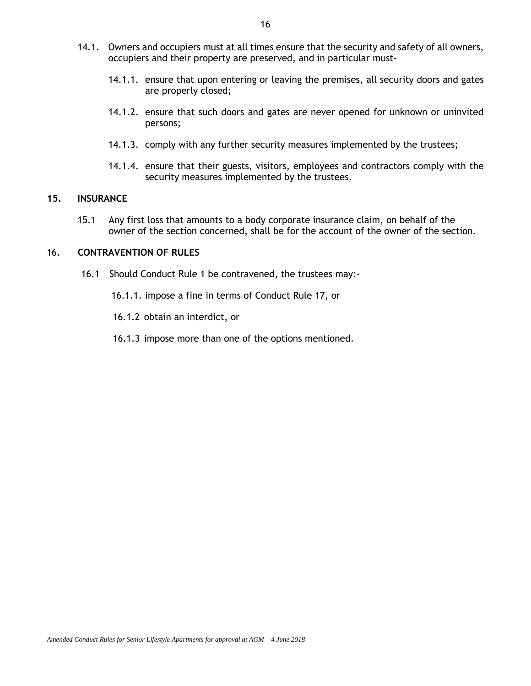- 14.1. Owners and occupiers must at all times ensure that the security and safety of all owners, occupiers and their property are preserved, and in particular must-
	- 14.1.1. ensure that upon entering or leaving the premises, all security doors and gates are properly closed;
	- 14.1.2. ensure that such doors and gates are never opened for unknown or uninvited persons;
	- 14.1.3. comply with any further security measures implemented by the trustees;
	- 14.1.4. ensure that their guests, visitors, employees and contractors comply with the security measures implemented by the trustees.

#### **15. INSURANCE**

15.1 Any first loss that amounts to a body corporate insurance claim, on behalf of the owner of the section concerned, shall be for the account of the owner of the section.

#### <span id="page-18-1"></span>16**. CONTRAVENTION OF RULES**

- 16.1 Should Conduct Rule 1 be contravened, the trustees may:-
	- 16.1.1. impose a fine in terms of Conduct Rule 17, or

16.1.2 obtain an interdict, or

<span id="page-18-0"></span>16.1.3 impose more than one of the options mentioned.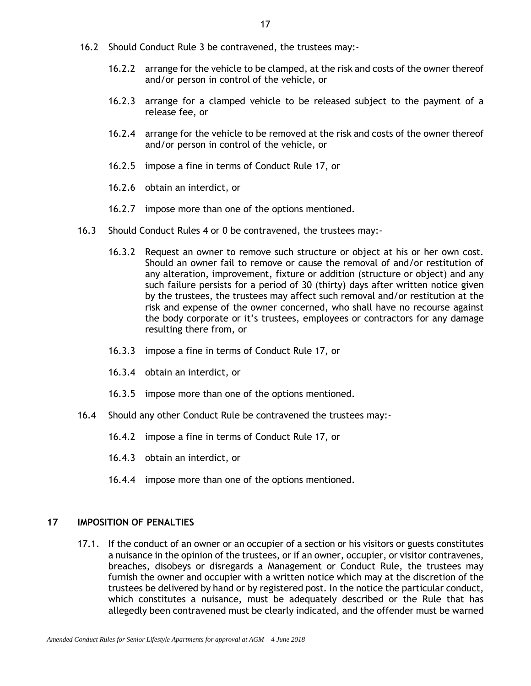- 16.2 Should Conduct Rule [3](#page-6-0) be contravened, the trustees may:-
	- 16.2.2 arrange for the vehicle to be clamped, at the risk and costs of the owner thereof and/or person in control of the vehicle, or
	- 16.2.3 arrange for a clamped vehicle to be released subject to the payment of a release fee, or
	- 16.2.4 arrange for the vehicle to be removed at the risk and costs of the owner thereof and/or person in control of the vehicle, or
	- 16.2.5 impose a fine in terms of Conduct Rule 17, or
	- 16.2.6 obtain an interdict, or
	- 16.2.7 impose more than one of the options mentioned.
- 16.3 Should Conduct Rules [4](#page-7-2) or [0](#page-12-0) be contravened, the trustees may:-
	- 16.3.2 Request an owner to remove such structure or object at his or her own cost. Should an owner fail to remove or cause the removal of and/or restitution of any alteration, improvement, fixture or addition (structure or object) and any such failure persists for a period of 30 (thirty) days after written notice given by the trustees, the trustees may affect such removal and/or restitution at the risk and expense of the owner concerned, who shall have no recourse against the body corporate or it's trustees, employees or contractors for any damage resulting there from, or
	- 16.3.3 impose a fine in terms of Conduct Rule 17, or
	- 16.3.4 obtain an interdict, or
	- 16.3.5 impose more than one of the options mentioned.
- 16.4 Should any other Conduct Rule be contravened the trustees may:-
	- 16.4.2 impose a fine in terms of Conduct Rule 17, or
	- 16.4.3 obtain an interdict, or
	- 16.4.4 impose more than one of the options mentioned.

# **17 IMPOSITION OF PENALTIES**

17.1. If the conduct of an owner or an occupier of a section or his visitors or guests constitutes a nuisance in the opinion of the trustees, or if an owner, occupier, or visitor contravenes, breaches, disobeys or disregards a Management or Conduct Rule, the trustees may furnish the owner and occupier with a written notice which may at the discretion of the trustees be delivered by hand or by registered post. In the notice the particular conduct, which constitutes a nuisance, must be adequately described or the Rule that has allegedly been contravened must be clearly indicated, and the offender must be warned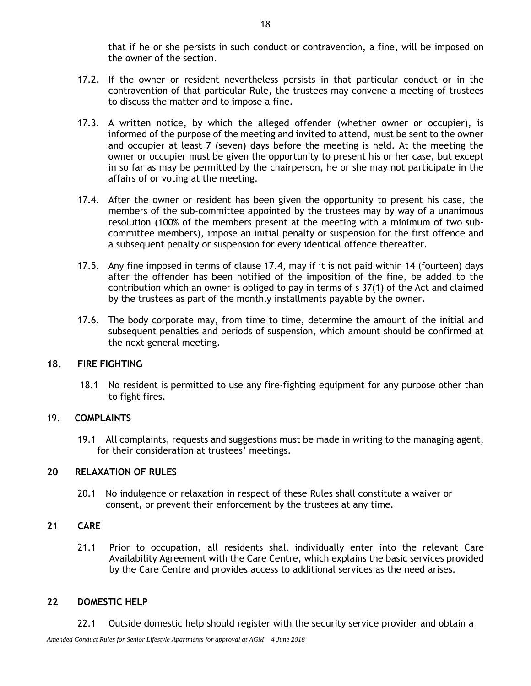that if he or she persists in such conduct or contravention, a fine, will be imposed on the owner of the section.

- 17.2. If the owner or resident nevertheless persists in that particular conduct or in the contravention of that particular Rule, the trustees may convene a meeting of trustees to discuss the matter and to impose a fine.
- 17.3. A written notice, by which the alleged offender (whether owner or occupier), is informed of the purpose of the meeting and invited to attend, must be sent to the owner and occupier at least 7 (seven) days before the meeting is held. At the meeting the owner or occupier must be given the opportunity to present his or her case, but except in so far as may be permitted by the chairperson, he or she may not participate in the affairs of or voting at the meeting.
- <span id="page-20-0"></span>17.4. After the owner or resident has been given the opportunity to present his case, the members of the sub-committee appointed by the trustees may by way of a unanimous resolution (100% of the members present at the meeting with a minimum of two subcommittee members), impose an initial penalty or suspension for the first offence and a subsequent penalty or suspension for every identical offence thereafter.
- 17.5. Any fine imposed in terms of clause [17.4,](#page-20-0) may if it is not paid within 14 (fourteen) days after the offender has been notified of the imposition of the fine, be added to the contribution which an owner is obliged to pay in terms of s 37(1) of the Act and claimed by the trustees as part of the monthly installments payable by the owner.
- 17.6. The body corporate may, from time to time, determine the amount of the initial and subsequent penalties and periods of suspension, which amount should be confirmed at the next general meeting.

#### **18. FIRE FIGHTING**

18.1 No resident is permitted to use any fire-fighting equipment for any purpose other than to fight fires.

#### 19. **COMPLAINTS**

19.1 All complaints, requests and suggestions must be made in writing to the managing agent, for their consideration at trustees' meetings.

#### **20 RELAXATION OF RULES**

20.1 No indulgence or relaxation in respect of these Rules shall constitute a waiver or consent, or prevent their enforcement by the trustees at any time.

# **21 CARE**

21.1 Prior to occupation, all residents shall individually enter into the relevant Care Availability Agreement with the Care Centre, which explains the basic services provided by the Care Centre and provides access to additional services as the need arises.

# **22 DOMESTIC HELP**

22.1 Outside domestic help should register with the security service provider and obtain a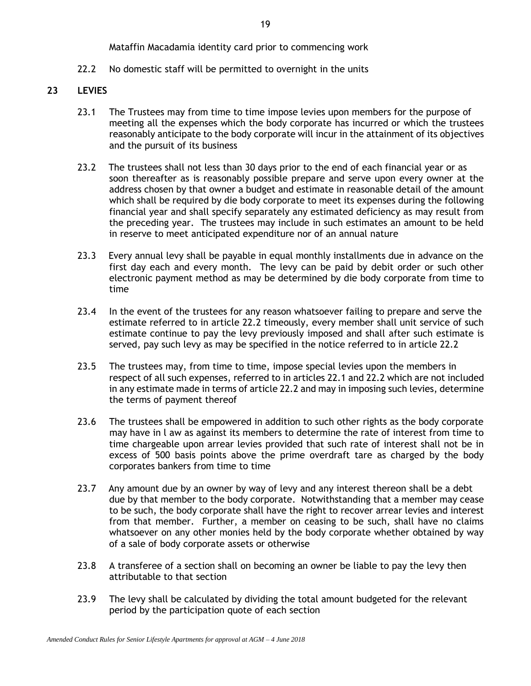Mataffin Macadamia identity card prior to commencing work

22.2 No domestic staff will be permitted to overnight in the units

# **23 LEVIES**

- 23.1 The Trustees may from time to time impose levies upon members for the purpose of meeting all the expenses which the body corporate has incurred or which the trustees reasonably anticipate to the body corporate will incur in the attainment of its objectives and the pursuit of its business
- 23.2 The trustees shall not less than 30 days prior to the end of each financial year or as soon thereafter as is reasonably possible prepare and serve upon every owner at the address chosen by that owner a budget and estimate in reasonable detail of the amount which shall be required by die body corporate to meet its expenses during the following financial year and shall specify separately any estimated deficiency as may result from the preceding year. The trustees may include in such estimates an amount to be held in reserve to meet anticipated expenditure nor of an annual nature
- 23.3 Every annual levy shall be payable in equal monthly installments due in advance on the first day each and every month. The levy can be paid by debit order or such other electronic payment method as may be determined by die body corporate from time to time
- 23.4 In the event of the trustees for any reason whatsoever failing to prepare and serve the estimate referred to in article 22.2 timeously, every member shall unit service of such estimate continue to pay the levy previously imposed and shall after such estimate is served, pay such levy as may be specified in the notice referred to in article 22.2
- 23.5 The trustees may, from time to time, impose special levies upon the members in respect of all such expenses, referred to in articles 22.1 and 22.2 which are not included in any estimate made in terms of article 22.2 and may in imposing such levies, determine the terms of payment thereof
- 23.6 The trustees shall be empowered in addition to such other rights as the body corporate may have in l aw as against its members to determine the rate of interest from time to time chargeable upon arrear levies provided that such rate of interest shall not be in excess of 500 basis points above the prime overdraft tare as charged by the body corporates bankers from time to time
- 23.7 Any amount due by an owner by way of levy and any interest thereon shall be a debt due by that member to the body corporate. Notwithstanding that a member may cease to be such, the body corporate shall have the right to recover arrear levies and interest from that member. Further, a member on ceasing to be such, shall have no claims whatsoever on any other monies held by the body corporate whether obtained by way of a sale of body corporate assets or otherwise
- 23.8 A transferee of a section shall on becoming an owner be liable to pay the levy then attributable to that section
- 23.9 The levy shall be calculated by dividing the total amount budgeted for the relevant period by the participation quote of each section